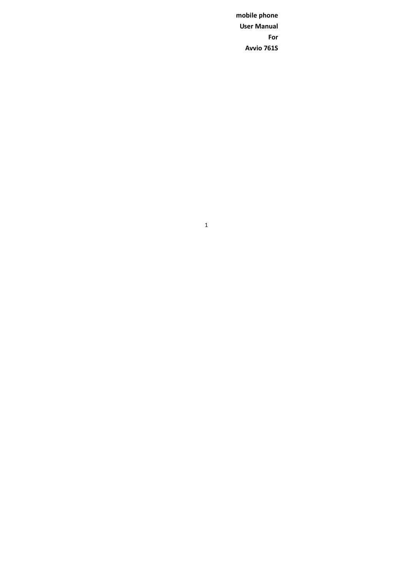**mobile phone User Manual For Avvio 761S**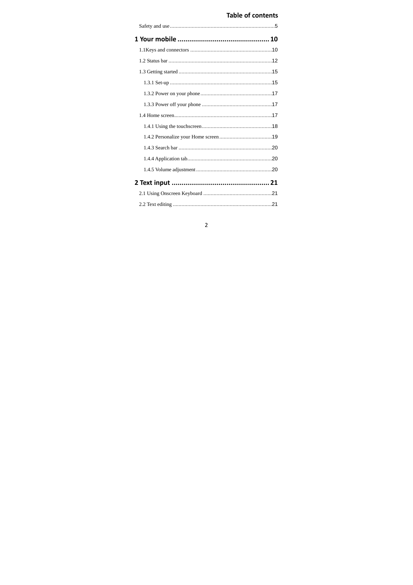## **Table of contents**

# $\overline{2}$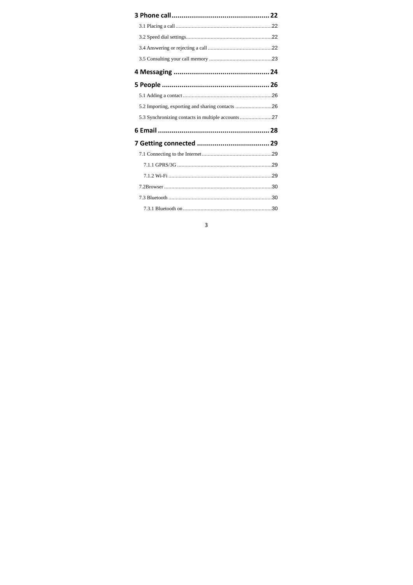| 5.2 Importing, exporting and sharing contacts 26   |  |
|----------------------------------------------------|--|
| 5.3 Synchronizing contacts in multiple accounts 27 |  |
|                                                    |  |
|                                                    |  |
|                                                    |  |
|                                                    |  |
|                                                    |  |
|                                                    |  |
|                                                    |  |
|                                                    |  |
|                                                    |  |

# $\overline{\mathbf{3}}$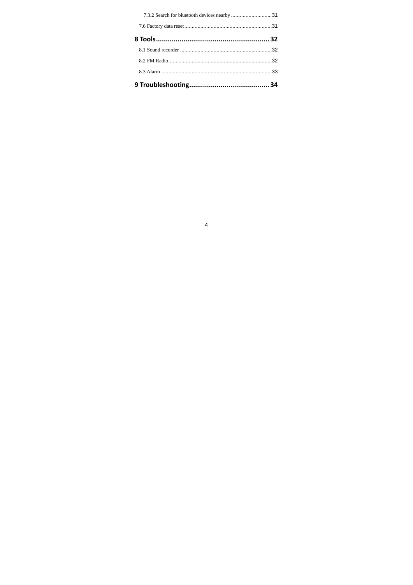| 7.3.2 Search for bluetooth devices nearby 31 |  |
|----------------------------------------------|--|
|                                              |  |
|                                              |  |
|                                              |  |
|                                              |  |
|                                              |  |
|                                              |  |

# $\overline{4}$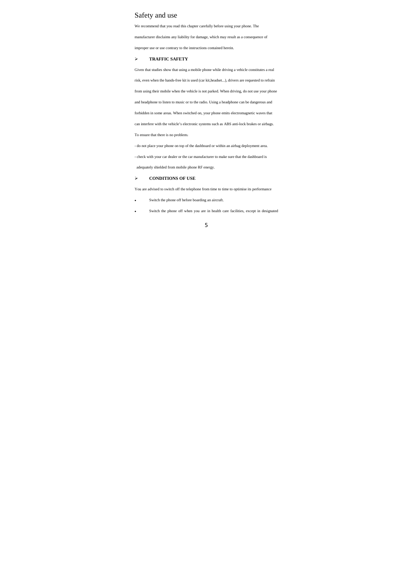## Safety and use

We recommend that you read this chapter carefully before using your phone. The

manufacturer disclaims any liability for damage, which may result as a consequence of

improper use or use contrary to the instructions contained herein.

#### **TRAFFIC SAFETY**

Given that studies show that using a mobile phone while driving a vehicle constitutes a real

risk, even when the hands-free kit is used (car kit,headset...), drivers are requested to refrain

from using their mobile when the vehicle is not parked. When driving, do not use your phone

and headphone to listen to music or to the radio. Using a headphone can be dangerous and

forbidden in some areas. When switched on, your phone emits electromagnetic waves that

can interfere with the vehicle's electronic systems such as ABS anti-lock brakes or airbags.

To ensure that there is no problem:

- do not place your phone on top of the dashboard or within an airbag deployment area.

- check with your car dealer or the car manufacturer to make sure that the dashboard is

adequately shielded from mobile phone RF energy.

## **CONDITIONS OF USE**

You are advised to switch off the telephone from time to time to optimise its performance

- Switch the phone off before boarding an aircraft.
- Switch the phone off when you are in health care facilities, except in designated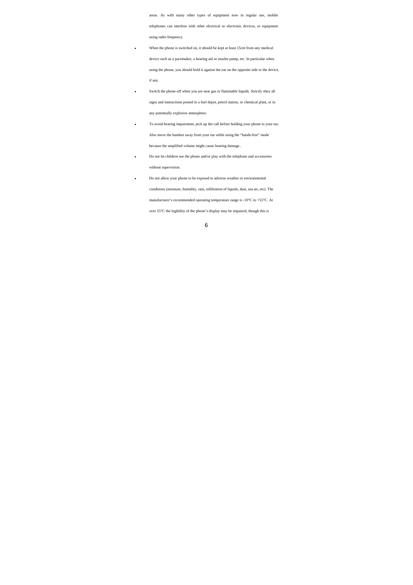areas. As with many other types of equipment now in regular use, mobile

telephones can interfere with other electrical or electronic devices, or equipment using radio frequency.

 When the phone is switched on, it should be kept at least 15cm from any medical device such as a pacemaker, a hearing aid or insulin pump, etc. In particular when using the phone, you should hold it against the ear on the opposite side to the device, if any.

- Switch the phone off when you are near gas or flammable liquids. Strictly obey all signs and instructions posted in a fuel depot, petrol station, or chemical plant, or in any potentially explosive atmosphere.
- To avoid hearing impairment, pick up the call before holding your phone to your ear. Also move the handset away from your ear while using the "hands-free" mode because the amplified volume might cause hearing damage..
- Do not let children use the phone and/or play with the telephone and accessories without supervision.
- Do not allow your phone to be exposed to adverse weather or environmental conditions (moisture, humidity, rain, infiltration of liquids, dust, sea air, etc). The manufacturer's recommended operating temperature range is -10°C to +55°C. At over 55°C the legibility of the phone's display may be impaired, though this is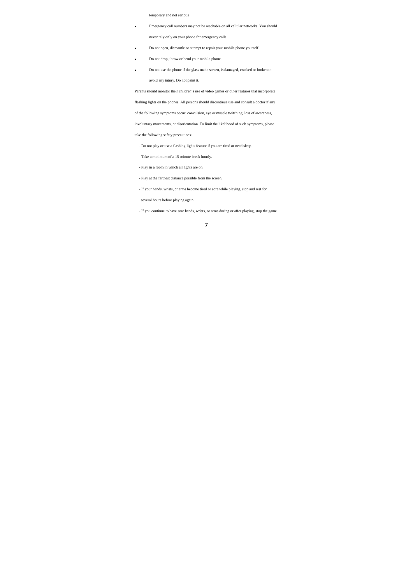#### temporary and not serious

Emergency call numbers may not be reachable on all cellular networks. You should

never rely only on your phone for emergency calls.

- Do not open, dismantle or attempt to repair your mobile phone yourself.
- Do not drop, throw or bend your mobile phone.
- Do not use the phone if the glass made screen, is damaged, cracked or broken to avoid any injury. Do not paint it.

Parents should monitor their children's use of video games or other features that incorporate

flashing lights on the phones. All persons should discontinue use and consult a doctor if any

of the following symptoms occur: convulsion, eye or muscle twitching, loss of awareness,

involuntary movements, or disorientation. To limit the likelihood of such symptoms, please

take the following safety precautions:

- Do not play or use a flashing-lights feature if you are tired or need sleep.

- Take a minimum of a 15-minute break hourly.

- Play in a room in which all lights are on.
- Play at the farthest distance possible from the screen.
- If your hands, wrists, or arms become tired or sore while playing, stop and rest for

several hours before playing again

- If you continue to have sore hands, wrists, or arms during or after playing, stop the game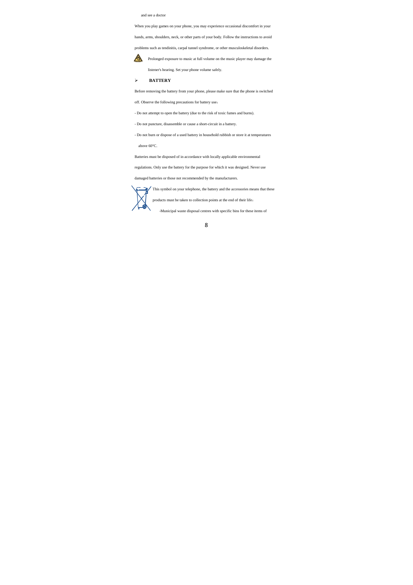#### and see a doctor

When you play games on your phone, you may experience occasional discomfort in your

hands, arms, shoulders, neck, or other parts of your body. Follow the instructions to avoid

problems such as tendinitis, carpal tunnel syndrome, or other musculoskeletal disorders.

**Prolonged exposure to music at full volume on the music player may damage the** 

listener's hearing. Set your phone volume safely.

## **BATTERY**

Before removing the battery from your phone, please make sure that the phone is switched

off. Observe the following precautions for battery use:

- Do not attempt to open the battery (due to the risk of toxic fumes and burns).

- Do not puncture, disassemble or cause a short-circuit in a battery.

- Do not burn or dispose of a used battery in household rubbish or store it at temperatures above 60°C.

Batteries must be disposed of in accordance with locally applicable environmental

regulations. Only use the battery for the purpose for which it was designed. Never use

damaged batteries or those not recommended by the manufacturers.



products must be taken to collection points at the end of their life:

-Municipal waste disposal centres with specific bins for these items of

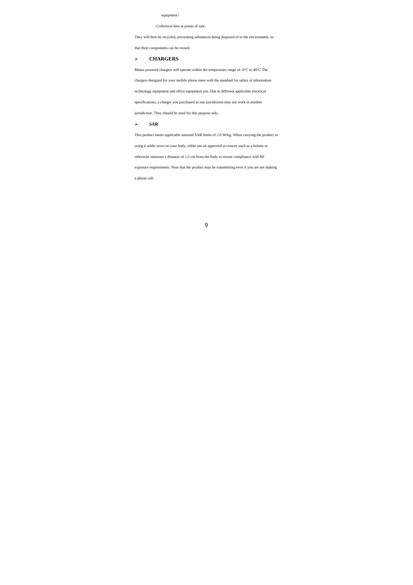#### equipment)

## -Collection bins at points of sale.

They will then be recycled, preventing substances being disposed of in the environment, so

that their components can be reused.

## **CHARGERS**

Mains powered chargers will operate within the temperature range of: 0°C to 40°C.<br>The  $\,$ 

chargers designed for your mobile phone meet with the standard for safety of information

technology equipment and office equipment use. Due to different applicable electrical

specifications, a charger you purchased in one jurisdiction may not work in another

jurisdiction. They should be used for this purpose only.

#### $>$  **SAR**

This product meets applicable national SAR limits of 2.0 W/kg. When carrying the product or

using it while worn on your body, either use an approved accessory such as a holster or

otherwise maintain a distance of 1.5 cm from the body to ensure compliance with RF

exposure requirements. Note that the product may be transmitting even if you are not making

a phone call.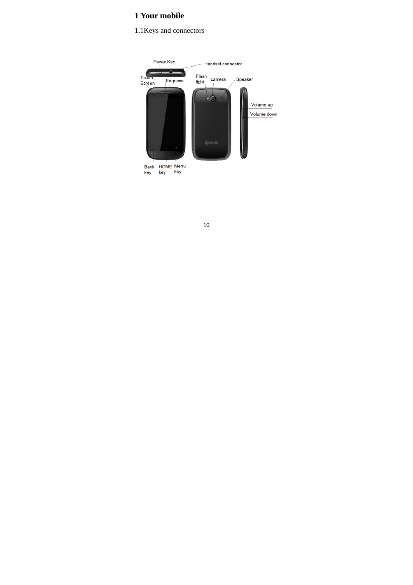# **1 Your mobile**

## 1.1Keys and connectors

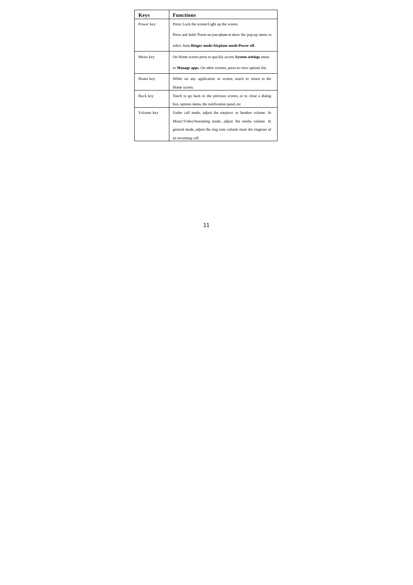| <b>Keys</b> | <b>Functions</b>                                                      |
|-------------|-----------------------------------------------------------------------|
| Power key   | Press: Lock the screen/Light up the screen.                           |
|             | Press and hold: Power on your phone or show the pop-up menu to        |
|             | select from Ringer mode/Airplane mode/Power off.                      |
| Menu key    | On Home screen press to quickly access <b>System settings</b> menu    |
|             | or <b>Manage apps</b> . On other screens, press to view options list. |
| Home key    | While on any application or screen, touch to return to the            |
|             | Home screen.                                                          |
| Back key    | Touch to go back to the previous screen, or to close a dialog         |
|             | box, options menu, the notification panel, etc                        |
| Volume key  | Under call mode, adjust the earpiece or headset volume. In            |
|             | Music/Video/Streaming mode, adjust the media volume. In               |
|             | general mode, adjust the ring tone volume mute the ringtone of        |
|             | an incoming call.                                                     |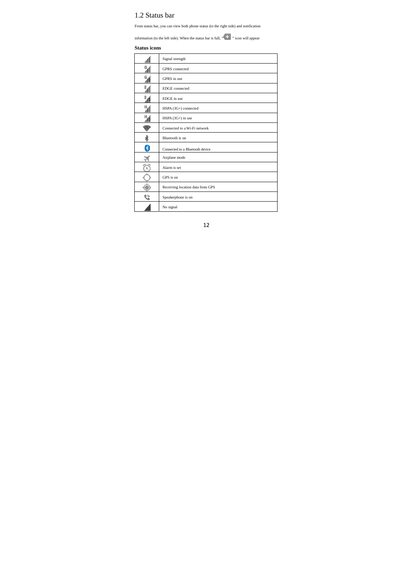## 1.2 Status bar

From status bar, you can view both phone status (to the right side) and notification

information (to the left side). When the status bar is full, "  $\overline{\hspace{0.1cm} }^{+}$  " icon will appear

## **Status icons**

|                  | Signal strength                  |
|------------------|----------------------------------|
| S                | <b>GPRS</b> connected            |
| 94               | GPRS in use                      |
| 5d               | <b>EDGE</b> connected            |
| $E_{\text{eff}}$ | EDGE in use                      |
| н,               | HSPA (3G+) connected             |
| 盟                | HSPA $(3G+)$ in use              |
|                  | Connected to a Wi-Fi network     |
| \$               | Bluetooth is on                  |
| 3                | Connected to a Bluetooth device  |
| ৰ                | Airplane mode                    |
| Ï                | Alarm is set                     |
|                  | GPS is on                        |
|                  | Receiving location data from GPS |
|                  | Speakerphone is on               |
|                  | No signal                        |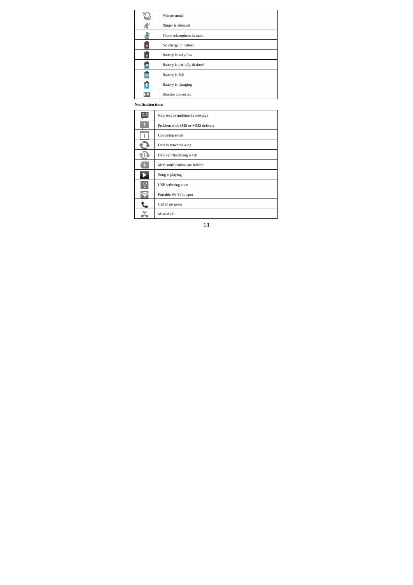|     | Vibrate mode                 |
|-----|------------------------------|
|     | Ringer is silenced           |
|     | Phone microphone is mute     |
| o   | No charge in battery         |
| 5   | Battery is very low          |
| 60  | Battery is partially drained |
| 100 | Battery is full              |
|     | Battery is charging          |
| HS  | Headset connected            |

**Notification icons**

|   | New text or multimedia message   |
|---|----------------------------------|
| D | Problem with SMS or MMS delivery |
| ï | Upcoming event                   |
|   | Data is synchronizing            |
|   | Data synchronizing is fail       |
| ÷ | More notifications are hidden    |
|   | Song is playing                  |
| Ÿ | USB tethering is on              |
| ξ | Portable Wi-Fi hotspot           |
|   | Call in progress                 |
|   | Missed call                      |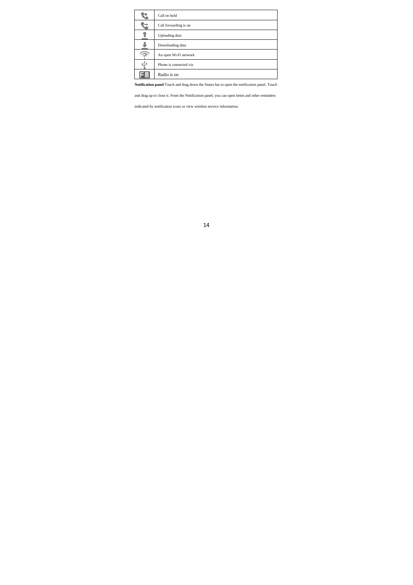| Call on hold           |
|------------------------|
| Call forwarding is on  |
| Uploading data         |
| Downloading data       |
| An open Wi-Fi network  |
| Phone is connected via |
| Radio is on            |
|                        |

**Notification panel** Touch and drag down the Status bar to open the notification panel. Touch

and drag up to close it. From the Notification panel, you can open items and other reminders

indicated by notification icons or view wireless service information.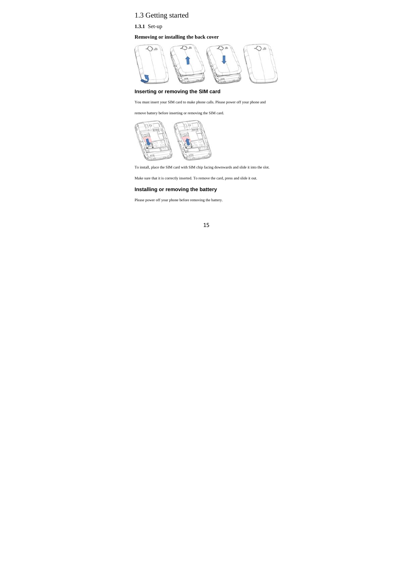# 1.3 Getting started

**1.3.1** Set-up

**Removing or installing the back cover** 



## **Inserting or removing the SIM card**

You must insert your SIM card to make phone calls. Please power off your phone and

remove battery before inserting or removing the SIM card.



To install, place the SIM card with SIM chip facing downwards and slide it into the slot.

Make sure that it is correctly inserted. To remove the card, press and slide it out.

## **Installing or removing the battery**

Please power off your phone before removing the battery.

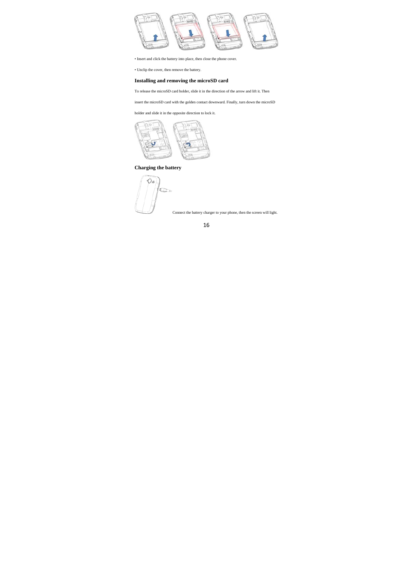

• Insert and click the battery into place, then close the phone cover.

• Unclip the cover, then remove the battery.

## **Installing and removing the microSD card**

To release the microSD card holder, slide it in the direction of the arrow and lift it. Then

insert the microSD card with the golden contact downward. Finally, turn down the microSD

holder and slide it in the opposite direction to lock it.



## **Charging the battery**

 $\circledcirc$  $\overline{z}$ 

Connect the battery charger to your phone, then the screen will light.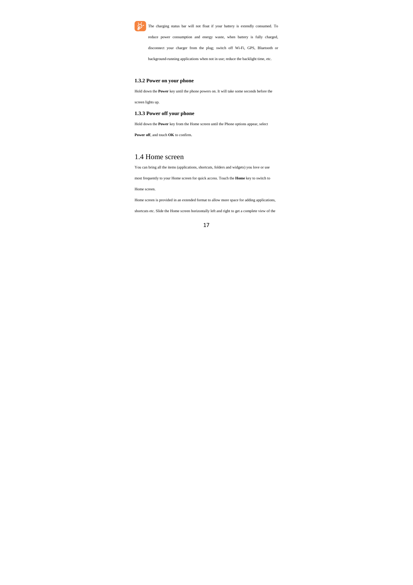

The charging status bar will not float if your battery is extendly consumed. To

reduce power consumption and energy waste, when battery is fully charged,

disconnect your charger from the plug; switch off Wi-Fi, GPS, Bluetooth or

background-running applications when not in use; reduce the backlight time, etc.

## **1.3.2 Power on your phone**

Hold down the **Power** key until the phone powers on. It will take some seconds before the

screen lights up.

## **1.3.3 Power off your phone**

Hold down the **Power** key from the Home screen until the Phone options appear, select

**Power off**, and touch **OK** to confirm.

## 1.4 Home screen

You can bring all the items (applications, shortcuts, folders and widgets) you love or use

most frequently to your Home screen for quick access. Touch the **Home** key to switch to

Home screen.

Home screen is provided in an extended format to allow more space for adding applications,

shortcuts etc. Slide the Home screen horizontally left and right to get a complete view of the

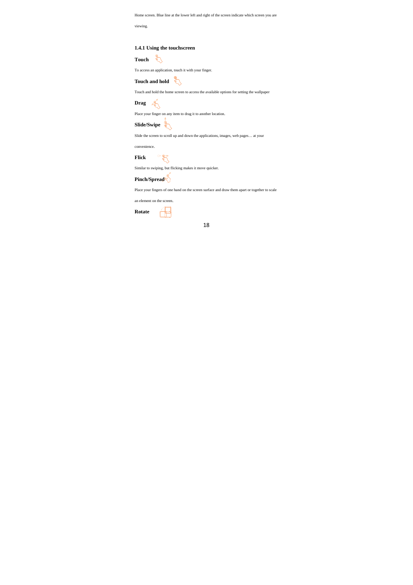Home screen. Blue line at the lower left and right of the screen indicate which screen you are

viewing.

**1.4.1 Using the touchscreen** 

Touch **b** 

To access an application, touch it with your finger.

Touch and hold **A** 

Touch and hold the home screen to access the available options for setting the wallpaper

**Drag** 

Place your finger on any item to drag it to another location.

**Slide/Swipe** 

Slide the screen to scroll up and down the applications, images, web pages… at your

convenience.

 $rac{1}{\sqrt[3]{2}}$ **Flick** 

Similar to swiping, but flicking makes it move quicker.

**Pinch/Spread** 

Place your fingers of one hand on the screen surface and draw them apart or together to scale

an element on the screen.

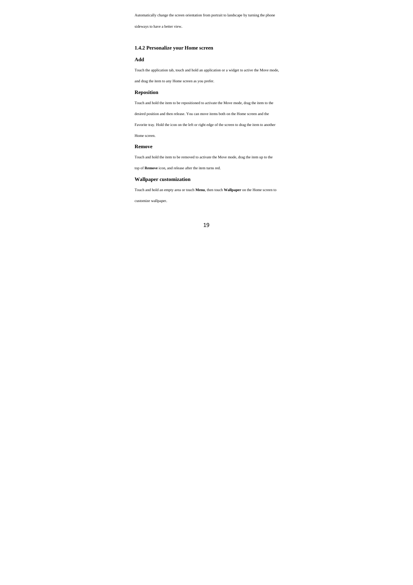Automatically change the screen orientation from portrait to landscape by turning the phone

sideways to have a better view.

## **1.4.2 Personalize your Home screen**

## **Add**

Touch the application tab, touch and hold an application or a widget to active the Move mode,

and drag the item to any Home screen as you prefer.

## **Reposition**

Touch and hold the item to be repositioned to activate the Move mode, drag the item to the

desired position and then release. You can move items both on the Home screen and the

Favorite tray. Hold the icon on the left or right edge of the screen to drag the item to another

Home screen.

## **Remove**

Touch and hold the item to be removed to activate the Move mode, drag the item up to the

top of **Remove** icon, and release after the item turns red.

## **Wallpaper customization**

Touch and hold an empty area or touch **Menu**, then touch **Wallpaper** on the Home screen to

customize wallpaper.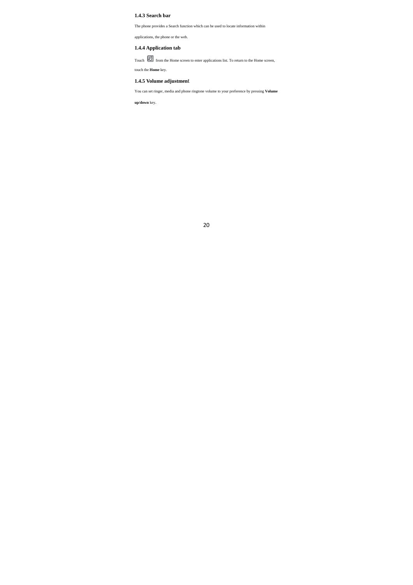## **1.4.3 Search bar**

The phone provides a Search function which can be used to locate information within

applications, the phone or the web.

## **1.4.4 Application tab**

Touch **From** from the Home screen to enter applications list. To return to the Home screen, touch the **Home** key.

## **1.4.5 Volume adjustmen**t

You can set ringer, media and phone ringtone volume to your preference by pressing **Volume** 

**up/down** key.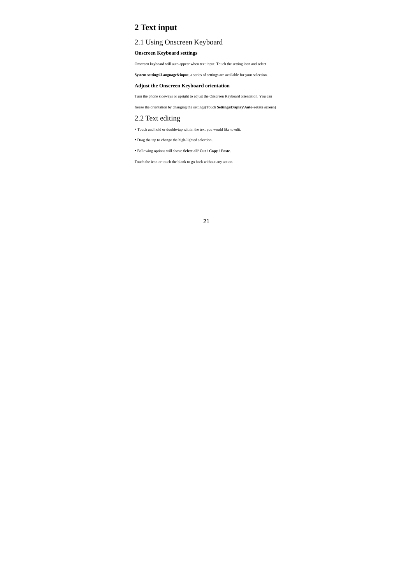# **2 Text input**

## 2.1 Using Onscreen Keyboard

## **Onscreen Keyboard settings**

Onscreen keyboard will auto appear when text input. Touch the setting icon and select

**System settings\Language&input**, a series of settings are available for your selection.

## **Adjust the Onscreen Keyboard orientation**

Turn the phone sideways or upright to adjust the Onscreen Keyboard orientation. You can

freeze the orientation by changing the settings(Touch **Settings\Display\Auto-rotate screen**)

## 2.2 Text editing

• Touch and hold or double-tap within the text you would like to edit.

• Drag the tap to change the high-lighted selection.

• Following options will show: **Select all/ Cut** / **Copy** / **Paste**.

Touch the icon or touch the blank to go back without any action.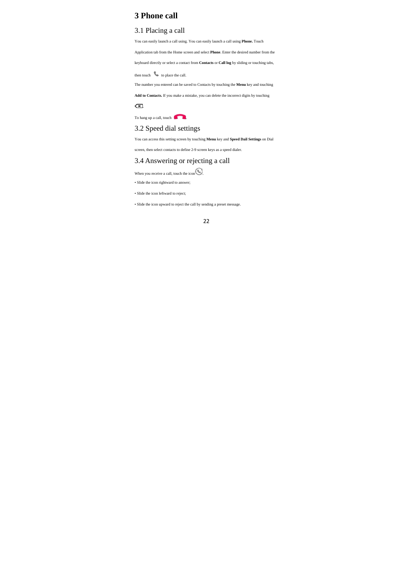# **3 Phone call**

## 3.1 Placing a call

You can easily launch a call using. You can easily launch a call using **Phone.** Touch

Application tab from the Home screen and select **Phone**. Enter the desired number from the

keyboard directly or select a contact from **Contacts** or **Call log** by sliding or touching tabs,

then touch to place the call.

The number you entered can be saved to Contacts by touching the **Menu** key and touching

**Add to Contacts.** If you make a mistake, you can delete the incorrect digits by touching

 $\overline{\mathbf{r}}$ 

To hang up a call, touch

## 3.2 Speed dial settings

You can access this setting screen by touching **Menu** key and **Speed Dail Settings** on Dial

screen, then select contacts to define 2-9 screen keys as a speed dialer.

## 3.4 Answering or rejecting a call

When you receive a call, touch the icon  $\bigodot$ .

• Slide the icon rightward to answer;

• Slide the icon leftward to reject;

• Slide the icon upward to reject the call by sending a preset message.

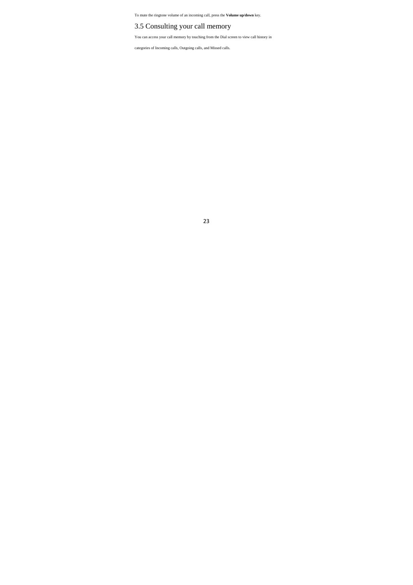To mute the ringtone volume of an incoming call, press the **Volume up/down** key.

## 3.5 Consulting your call memory

You can access your call memory by touching from the Dial screen to view call history in

categories of Incoming calls, Outgoing calls, and Missed calls.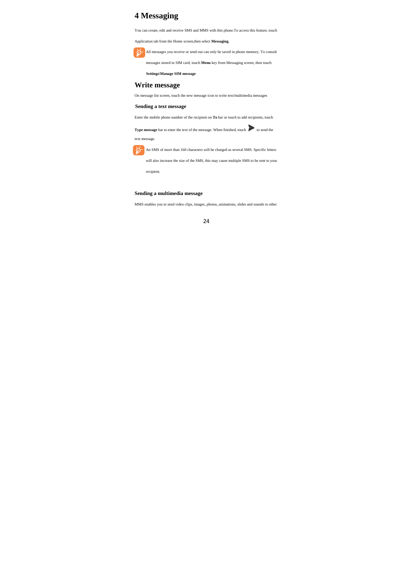# **4 Messaging**

You can create, edit and receive SMS and MMS with this phone.To access this feature, touch

Application tab from the Home screen,then select **Messaging**.

All messages you receive or send out can only be saved in phone memory. To consult

messages stored in SIM card, touch **Menu** key from Messaging screen, then touch

**Settings\Manage SIM message**

## **Write message**

On message list screen, touch the new message icon to write text/multimedia messages

## **Sending a text message**

Enter the mobile phone number of the recipient on **To** bar or touch to add recipients, touch

**Type message** bar to enter the text of the message. When finished, touch to send the

text message.

An SMS of more than 160 characters will be charged as several SMS. Specific letters

will also increase the size of the SMS, this may cause multiple SMS to be sent to your recipient.

## **Sending a multimedia message**

MMS enables you to send video clips, images, photos, animations, slides and sounds to other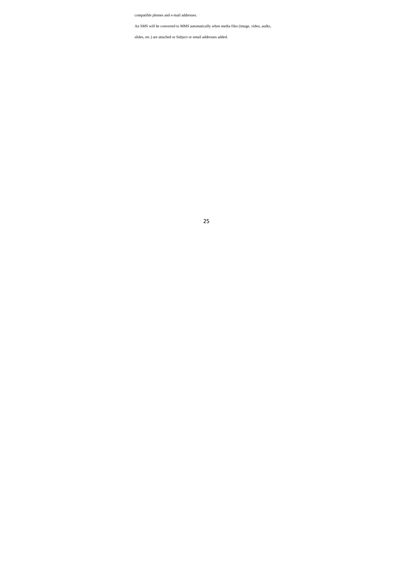compatible phones and e-mail addresses.

An SMS will be converted to MMS automatically when media files (image, video, audio,

slides, etc.) are attached or Subject or email addresses added.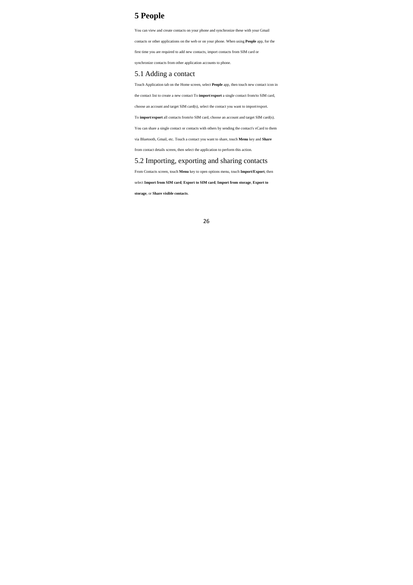# **5 People**

You can view and create contacts on your phone and synchronize these with your Gmail

contacts or other applications on the web or on your phone. When using **People** app, for the

first time you are required to add new contacts, import contacts from SIM card or

synchronize contacts from other application accounts to phone.

## 5.1 Adding a contact

Touch Application tab on the Home screen, select **People** app, then touch new contact icon in

the contact list to create a new contact To **import**/**export** a single contact from/to SIM card,

choose an account and target SIM card(s), select the contact you want to import/export.

To **import**/**export** all contacts from/to SIM card, choose an account and target SIM card(s).

You can share a single contact or contacts with others by sending the contact's vCard to them

via Bluetooth, Gmail, etc. Touch a contact you want to share, touch **Menu** key and **Share** 

from contact details screen, then select the application to perform this action.

## 5.2 Importing, exporting and sharing contacts

From Contacts screen, touch **Menu** key to open options menu, touch **Import/Export**, then

select **Import from SIM card**, **Export to SIM card**, **Import from storage**, **Export to** 

**storage**, or **Share visible contacts**.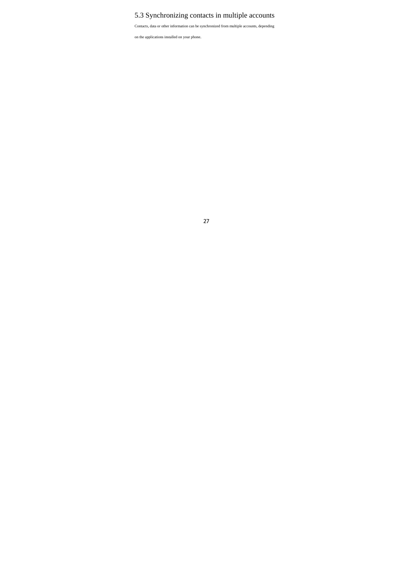# 5.3 Synchronizing contacts in multiple accounts

Contacts, data or other information can be synchronized from multiple accounts, depending

on the applications installed on your phone.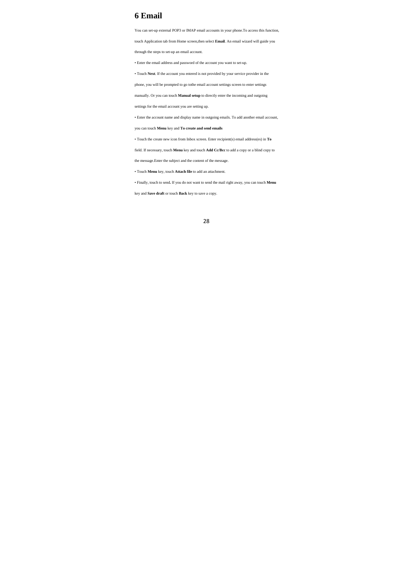# **6 Email**

You can set-up external POP3 or IMAP email accounts in your phone.To access this function,

touch Application tab from Home screen,then select **Email**. An email wizard will guide you

through the steps to set-up an email account.

• Enter the email address and password of the account you want to set-up.

• Touch **Next**. If the account you entered is not provided by your service provider in the

phone, you will be prompted to go tothe email account settings screen to enter settings

manually. Or you can touch **Manual setup** to directly enter the incoming and outgoing

settings for the email account you are setting up.

• Enter the account name and display name in outgoing emails. To add another email account,

you can touch **Menu** key and **To create and send emails** 

• Touch the create new icon from Inbox screen. Enter recipient(s) email address(es) in **To** 

field. If necessary, touch **Menu** key and touch **Add Cc/Bcc** to add a copy or a blind copy to

the message.Enter the subject and the content of the message.

• Touch **Menu** key, touch **Attach file** to add an attachment.

• Finally, touch to send**.** If you do not want to send the mail right away, you can touch **Menu** 

key and **Save draft** or touch **Back** key to save a copy.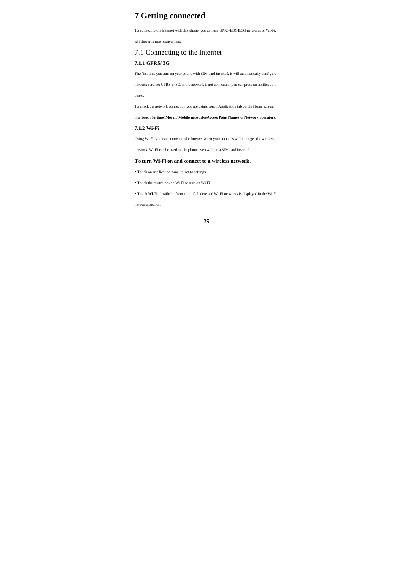# **7 Getting connected**

To connect to the Internet with this phone, you can use GPRS/EDGE/3G networks or Wi-Fi,

whichever is most convenient.

## 7.1 Connecting to the Internet

## **7.1.1 GPRS/ 3G**

The first time you turn on your phone with SIM card inserted, it will automatically configure

network service: GPRS or 3G. If the network is not connected, you can press on notification

panel.

To check the network connection you are using, touch Application tab on the Home screen,

## then touch **Settings\More...\Mobile networks\Access Point Names** or **Network operators.**

## **7.1.2 Wi-Fi**

Using Wi-Fi, you can connect to the Internet when your phone is within range of a wireless

network. Wi-Fi can be used on the phone even without a SIM card inserted.

## **To turn Wi-Fi on and connect to a wireless network**:

**•** Touch on notification panel to get to settings.

**•** Touch the switch beside Wi-Fi to turn on Wi-Fi.

**•** Touch **Wi-Fi**, detailed information of all detected Wi-Fi networks is displayed in the Wi-Fi

networks section.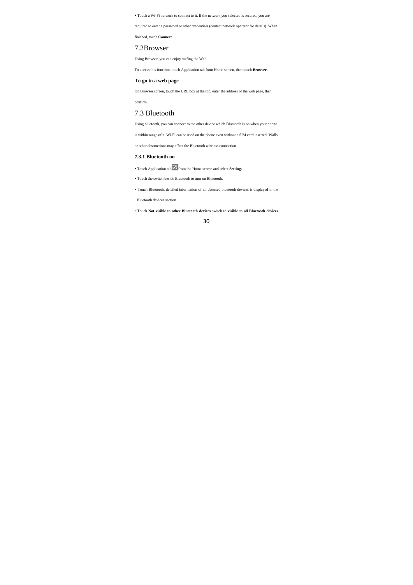**•** Touch a Wi-Fi network to connect to it. If the network you selected is secured, you are

required to enter a password or other credentials (contact network operator for details). When

finished, touch **Connect**.

## 7.2Browser

Using Browser, you can enjoy surfing the Web.

To access this function, touch Application tab from Home screen, then touch **Browser.** 

## **To go to a web page**

On Browser screen, touch the URL box at the top, enter the address of the web page, then confirm.

# 7.3 Bluetooth

Using bluetooth, you can connect to the other device which Bluetooth is on when your phone

is within range of it. Wi-Fi can be used on the phone even without a SIM card inserted. Walls

or other obstructions may affect the Bluetooth wireless connection.

## **7.3.1 Bluetooth on**

• Touch Application tab from the Home screen and select **Settings**

• Touch the switch beside Bluetooth to turn on Bluetooth.

• Touch Bluetooth, detailed information of all detected bluetooth devices is displayed in the

Bluetooth devices section.

• Touch **Not visible to other Bluetooth devices** switch to **visible to all Bluetooth devices**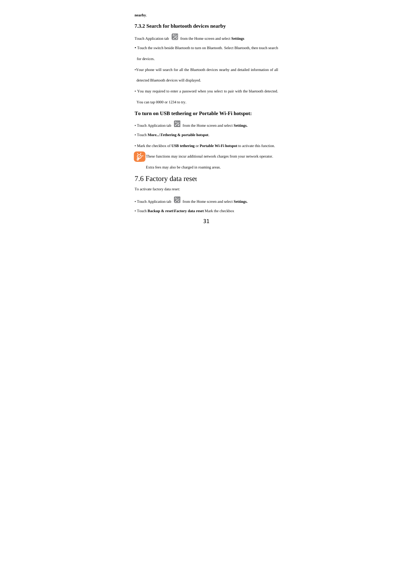## **nearby**.

## **7.3.2 Search for bluetooth devices nearby**

Touch Application tab **from** the Home screen and select **Settings** 

• Touch the switch beside Bluetooth to turn on Bluetooth. Select Bluetooth, then touch search

for devices.

•Your phone will search for all the Bluetooth devices nearby and detailed information of all

detected Bluetooth devices will displayed.

• You may required to enter a password when you select to pair with the bluetooth detected.

You can tap 0000 or 1234 to try.

## **To turn on USB tethering or Portable Wi-Fi hotspot:**

• Touch Application tab **from** the Home screen and select **Settings.** 

• Touch **More...\Tethering & portable hotspot**.

## • Mark the checkbox of **USB tethering** or **Portable Wi-Fi hotspot** to activate this function.

These functions may incur additional network charges from your network operator.

Extra fees may also be charged in roaming areas.

# 7.6 Factory data reset To activate factory data reset:

• Touch Application tab **for the Home screen and select Settings.** 

• Touch **Backup & reset\Factory data reset** Mark the checkbox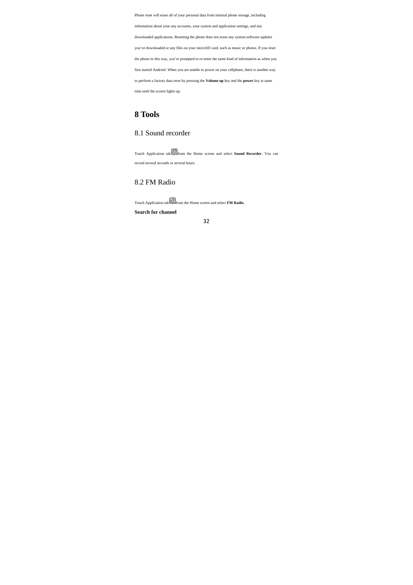Phone reset will erase all of your personal data from internal phone storage, including information about your any accounts, your system and application settings, and any downloaded applications. Resetting the phone does not erase any system software updates you've downloaded or any files on your microSD card, such as music or photos. If you reset the phone in this way, you're prompted to re-enter the same kind of information as when you first started Android. When you are unable to power on your cellphone, there is another way to perform a factory data reset by pressing the **Volume up** key and the **power** key at same time until the screen lights up.

# **8 Tools**

## 8.1 Sound recorder

Touch Application tab from the Home screen and select **Sound Recorder**. You can record several seconds or several hours.

## 8.2 FM Radio

Touch Application tab from the Home screen and select **FM Radio.**

**Search for channel**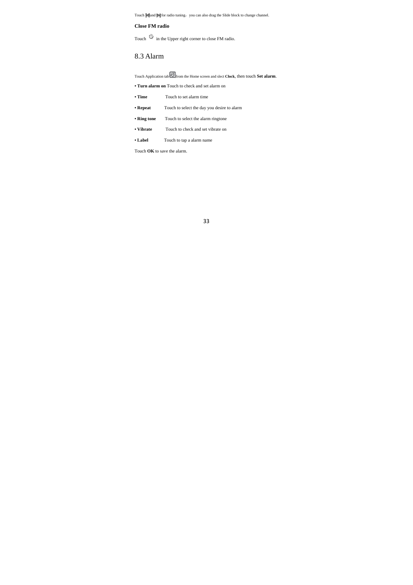Touch  $\blacksquare$  and  $\blacksquare$  for radio tuning, you can also drag the Slide block to change channel.

## **Close FM radio**

Touch  $\Box$  in the Upper right corner to close FM radio.

## 8.3 Alarm

Touch Application tab from the Home screen and slect **Clock**, then touch **Set alarm**.

**• Turn alarm on** Touch to check and set alarm on

- **Time** Touch to set alarm time
- **Repeat** Touch to select the day you desire to alarm
- **Ring tone** Touch to select the alarm ringtone
- **Vibrate** Touch to check and set vibrate on
- **Label** Touch to tap a alarm name

Touch **OK** to save the alarm.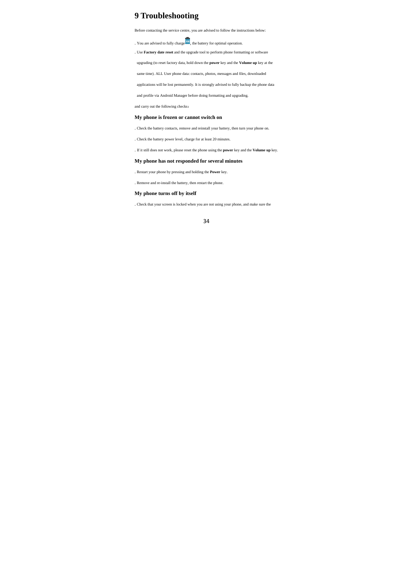# **9 Troubleshooting**

Before contacting the service centre, you are advised to follow the instructions below:

. You are advised to fully charge  $\overline{\text{co}}$ , the battery for optimal operation.

. Use **Factory date reset** and the upgrade tool to perform phone formatting or software

upgrading (to reset factory data, hold down the **power** key and the **Volume up** key at the

same time). ALL User phone data: contacts, photos, messages and files, downloaded

applications will be lost permanently. It is strongly advised to fully backup the phone data

and profile via Android Manager before doing formatting and upgrading.

and carry out the following checks:

## **My phone is frozen or cannot switch on**

. Check the battery contacts, remove and reinstall your battery, then turn your phone on.

. Check the battery power level, charge for at least 20 minutes.

. If it still does not work, please reset the phone using the **power** key and the **Volume up** key.

## **My phone has not responded for several minutes**

. Restart your phone by pressing and holding the **Power** key.

. Remove and re-install the battery, then restart the phone.

## **My phone turns off by itself**

. Check that your screen is locked when you are not using your phone, and make sure the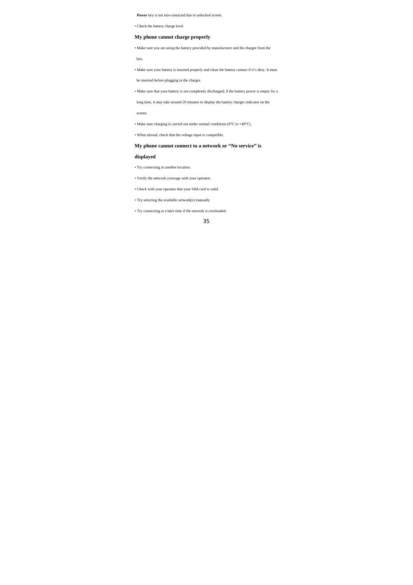**Power** key is not mis-contacted due to unlocked screen.

• Check the battery charge level

## **My phone cannot charge properly**

• Make sure you are using the battery provided by manufacturer and the charger from the

box.

• Make sure your battery is inserted properly and clean the battery contact if it's dirty. It must

be inserted before plugging in the charger.

• Make sure that your battery is not completely discharged; if the battery power is empty for a

long time, it may take around 20 minutes to display the battery charger indicator on the

screen.

 $\bullet$  Make sure charging is carried out under normal conditions (0°C to +40°C).

• When abroad, check that the voltage input is compatible.

## **My phone cannot connect to a network or "No service" is**

## **displayed**

• Try connecting in another location.

• Verify the network coverage with your operator.

• Check with your operator that your SIM card is valid.

• Try selecting the available network(s) manually

• Try connecting at a later time if the network is overloaded.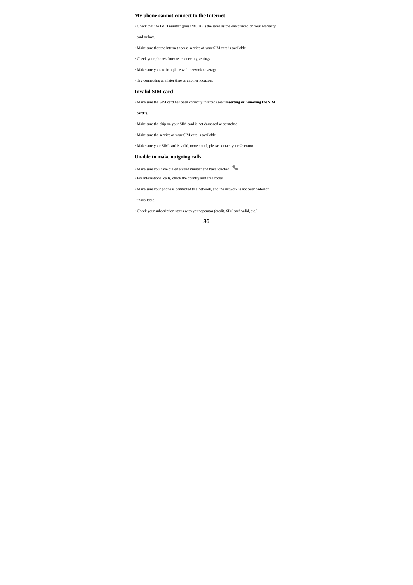#### **My phone cannot connect to the Internet**

• Check that the IMEI number (press \*#06#) is the same as the one printed on your warranty

card or box.

• Make sure that the internet access service of your SIM card is available.

• Check your phone's Internet connecting settings.

• Make sure you are in a place with network coverage.

• Try connecting at a later time or another location.

## **Invalid SIM card**

• Make sure the SIM card has been correctly inserted (see "**Inserting or removing the SIM** 

**card**").

• Make sure the chip on your SIM card is not damaged or scratched.

• Make sure the service of your SIM card is available.

• Make sure your SIM card is valid, more detail, please contact your Operator.

## **Unable to make outgoing calls**

• Make sure you have dialed a valid number and have touched

• For international calls, check the country and area codes.

• Make sure your phone is connected to a network, and the network is not overloaded or

unavailable.

• Check your subscription status with your operator (credit, SIM card valid, etc.).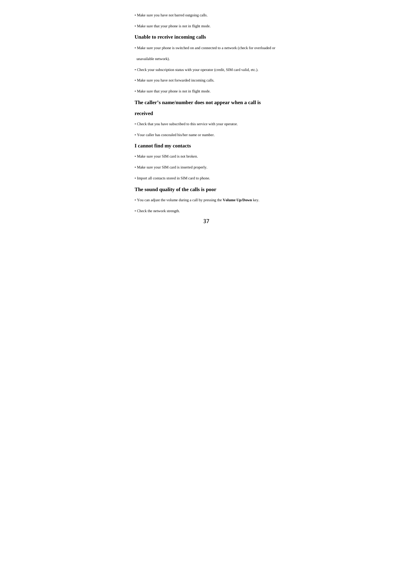• Make sure you have not barred outgoing calls.

• Make sure that your phone is not in flight mode.

## **Unable to receive incoming calls**

• Make sure your phone is switched on and connected to a network (check for overloaded or

unavailable network).

• Check your subscription status with your operator (credit, SIM card valid, etc.).

• Make sure you have not forwarded incoming calls.

• Make sure that your phone is not in flight mode.

## **The caller's name/number does not appear when a call is**

## **received**

• Check that you have subscribed to this service with your operator.

• Your caller has concealed his/her name or number.

#### **I cannot find my contacts**

• Make sure your SIM card is not broken.

• Make sure your SIM card is inserted properly.

• Import all contacts stored in SIM card to phone.

## **The sound quality of the calls is poor**

• You can adjust the volume during a call by pressing the **Volume Up/Down** key.

• Check the network strength.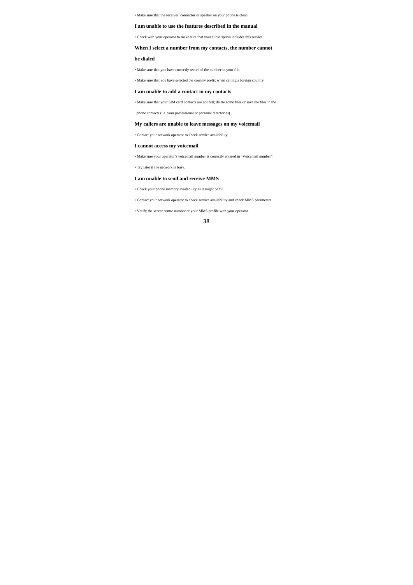• Make sure that the receiver, connector or speaker on your phone is clean.

## **I am unable to use the features described in the manual**

• Check with your operator to make sure that your subscription includes this service.

## **When I select a number from my contacts, the number cannot**

**be dialed** 

• Make sure that you have correctly recorded the number in your file.

• Make sure that you have selected the country prefix when calling a foreign country.

#### **I am unable to add a contact in my contacts**

• Make sure that your SIM card contacts are not full; delete some files or save the files in the

phone contacts (i.e. your professional or personal directories).

## **My callers are unable to leave messages on my voicemail**

• Contact your network operator to check service availability.

#### **I cannot access my voicemail**

• Make sure your operator's voicemail number is correctly entered in "Voicemail number".

• Try later if the network is busy.

## **I am unable to send and receive MMS**

• Check your phone memory availability as it might be full.

• Contact your network operator to check service availability and check MMS parameters.

• Verify the server centre number or your MMS profile with your operator.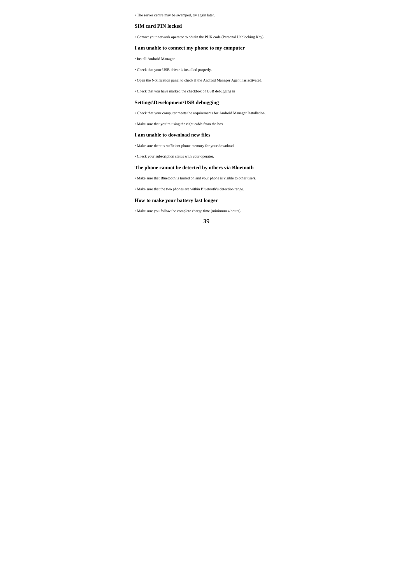• The server centre may be swamped, try again later.

## **SIM card PIN locked**

• Contact your network operator to obtain the PUK code (Personal Unblocking Key).

## **I am unable to connect my phone to my computer**

• Install Android Manager.

• Check that your USB driver is installed properly.

• Open the Notification panel to check if the Android Manager Agent has activated.

• Check that you have marked the checkbox of USB debugging in

## **Settings\Development\USB debugging**

• Check that your computer meets the requirements for Android Manager Installation.

• Make sure that you're using the right cable from the box.

#### **I am unable to download new files**

• Make sure there is sufficient phone memory for your download.

• Check your subscription status with your operator.

#### **The phone cannot be detected by others via Bluetooth**

• Make sure that Bluetooth is turned on and your phone is visible to other users.

• Make sure that the two phones are within Bluetooth's detection range.

## **How to make your battery last longer**

• Make sure you follow the complete charge time (minimum 4 hours).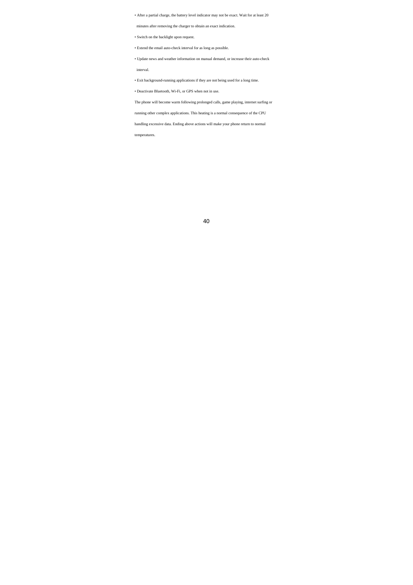• After a partial charge, the battery level indicator may not be exact. Wait for at least 20

minutes after removing the charger to obtain an exact indication.

• Switch on the backlight upon request.

• Extend the email auto-check interval for as long as possible.

• Update news and weather information on manual demand, or increase their auto-check

interval.

• Exit background-running applications if they are not being used for a long time.

• Deactivate Bluetooth, Wi-Fi, or GPS when not in use.

The phone will become warm following prolonged calls, game playing, internet surfing or

running other complex applications. This heating is a normal consequence of the CPU

handling excessive data. Ending above actions will make your phone return to normal

temperatures.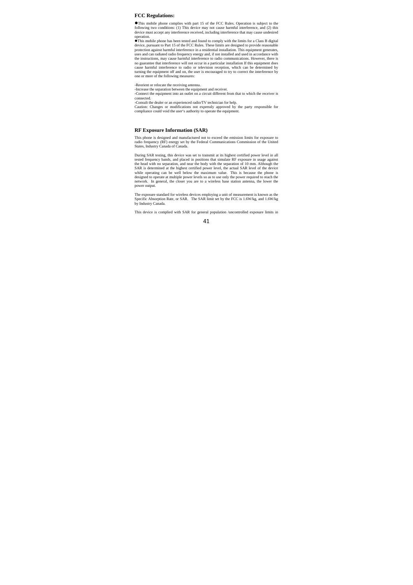#### **FCC Regulations:**

This mobile phone complies with part 15 of the FCC Rules. Operation is subject to the following two conditions: (1) This device may not cause harmful interference, and (2) this device must accept any interference received,

operation.<br> **Th**is mobile phone has been tested and found to comply with the limits for a Class B digital<br> **d**evice, pursuant to Part 15 of the FCC Rules. These limits are designed to provide reasonable<br>
protection against no guarantee that interference will not occur in a particular installation If this equipment does<br>cause harmful interference to radio or television reception, which can be determined by<br>turning the equipment off and on, th

-Reorient or relocate the receiving antenna. -Increase the separation between the equipment and receiver. -Connect the equipment into an outlet on a circuit different from that to which the receiver is

connected.

-Consult the dealer or an experienced radio/TV technician for help. Caution: Changes or modifications not expressly approved by the party responsible for compliance could void the user's authority to operate the equipment.

#### **RF Exposure Information (SAR)**

This phone is designed and manufactured not to exceed the emission limits for exposure to radio frequency (RF) energy set by the Federal Communications Commission of the United States, Industry Canada of Canada.

During SAR testing, this device was set to transmit at its highest certified power level in all tested frequency bands, and placed in positions that simulate RF exposure in usage against the head with no separation, and near the body with the separation of 10 mm. Although the SAR is determined at the highest certified power level, the actual SAR level of the device<br>while operating can be well below the maximum value. This is because the phone is<br>designed to operate at multiple power levels so a power output.

The exposure standard for wireless devices employing a unit of measurement is known as the Specific Absorption Rate, or SAR. The SAR limit set by the FCC is 1.6W/kg, and 1.6W/kg by Industry Canada.

This device is complied with SAR for general population /uncontrolled exposure limits in